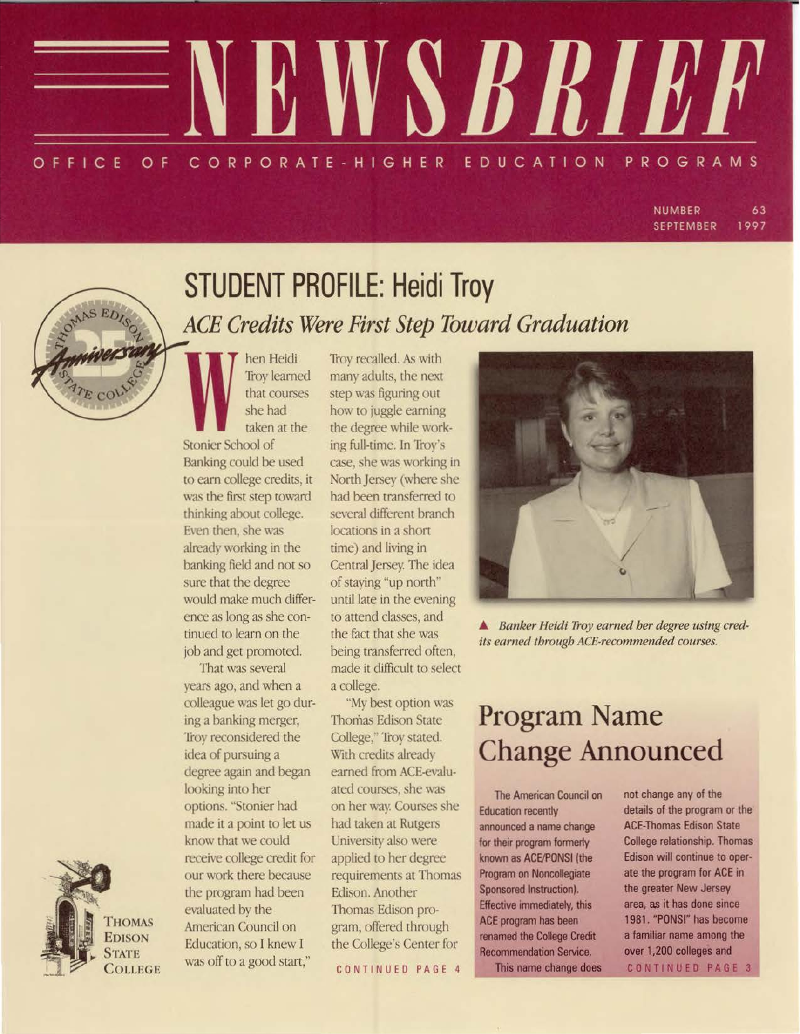

NUMBER 63 1997 **SEPTEMBER** 

## **STUDENT PROFILE: Heidi Troy**  *ACE Credits Were First Step Toward Graduation*

W Troy k<br>that come that the hand<br>Stonier School of hen Heidi 'froy learned that courses she had taken at the

Banking could be used to earn college credits, it was the first step toward thinking about college. Even then, she was already working in the banking field and not so sure that the degree would make much difference as long as she continued to learn on the job and get promoted.

That was several years ago, and when a colleague was let go during a banking merger, 'froy reconsidered the idea of pursuing a degree again and began looking into her options. "Stonier had made it a point to let us know that we could receive college credit for our work there because the program had been evaluated by the American Council on Education, so I knew I was off to a good start,"

'froy recalled. As with many adults, the next step was figuring out how to juggle earning the degree while working full-time. In Troy's case, she was working in North Jersey (where she had been transferred to several different branch locations in a short time) and living in Central Jersey The idea of staying "up north" until late in the evening to attend classes, and the fact that she was being transferred often, made it difficult to select a college.

"My best option was Thomas Edison State College," Troy stated. With credits already earned from ACE-evaluated courses, she was on her way. Courses she had taken at Rutgers University also were applied to her degree requirements at Thomas Edison. Another Thomas Edison program, offered through the College's Center for

CO NTINUED PAGE 4



• *Banker Heidi Troy earned her degree using credits earned through ACE-recommended courses.* 

### **Program Name Change Announced**

The American Council on Education recently announced a name change for their program formerly known as ACE/PONSI (the Program on Noncollegiate Sponsored Instruction). Effective immediately, this ACE program has been renamed the College Credit Recommendation Service. This name change does

not change any of the details of the program or the ACE-Thomas Edison State College relationship. Thomas Edison will continue to operate the program for ACE in the greater New Jersey area, as it has done since 1981. "PONS!" has become a familiar name among the over 1,200 colleges and CONTINUED PAGE 3

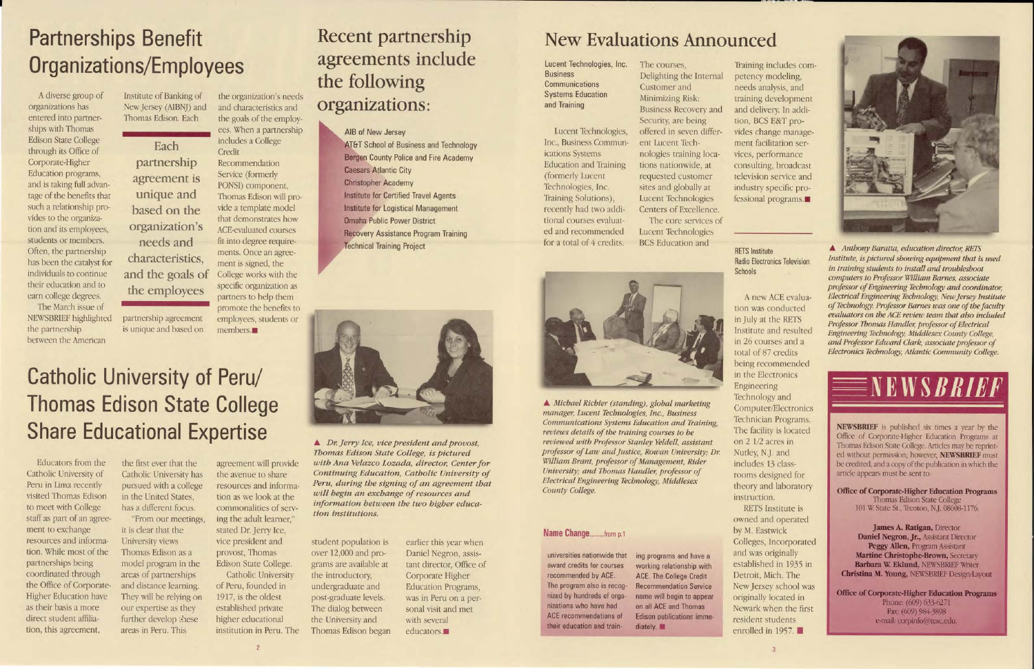## **Partnerships Benefit Organizations/Employees**

ships with Thomas ees. When a partnership Edison State College **Each** includes a College through its Office of through its Office of Corporate-Higher **partnership** Recommendation<br>Education programs, **Recorporation** Service (formerly and is taking full advan-<br>tage of the benefits that **Unique and** tage of the benefits that unique and Thomas Edison will prosuch a relationship pro-<br>
vides to the organiza-<br>
that demonstrates how<br>
that demonstrates how tion and its employees, **organization's** ACE-evaluated courses students or members.<br>Often, the partnership mergets and fit into degree require-<br>ments. Once an agreehas been the catalyst for individuals to continue and the goals of College works with the their education and to the employees earn college degrees. the employees

The March issue of promote the benefits to between the American

A diverse group of Institute of Banking of the organization's needs organizations has New Jersey (AIBNJ) and and characteristics and entered into partner-<br>Thomas Edison. Each the goals of the employ-

> agreement is Service (formerly<br>PONSI) component.  $\frac{1}{2}$  characteristics, ments. Once an agree-

NEWSBRIEF highlighted partnership agreement employees, students or the partnership is unique and based on members.

that demonstrates how partners to help them

## **Catholic University of Peru/ Thomas Edison State College Share Educational Expertise**

Educators from the Catholic University of Peru in Lima recently visited Thomas Edison to meet with College staff as part of an agreement to exchange resources and information. While most of the partnerships being coordinated through the Office of Corporate-Higher Education have as their basis a more direct student affiliation, this agreement,

earlier this year when Daniel Negron, assistant director, Office of Corporate Higher Education Programs, was in Peru on a personal visit and met with several educators.

the first ever that the Catholic University has pursued with a college in the United States, has a different focus. "From our meetings, it is clear that the

University views Thomas Edison as a model program in the areas of partnerships and distance learning. They will be relying on our expertise as they further develop shese areas in Peru. This

agreement will provide the avenue to share resources and information as we look at the commonalities of serving the adult learner," stated Dr. Jerry Ice, vice president and provost, Thomas Edison State College.

Catholic University of Peru, founded in 1917, is the oldest established private higher educational institution in Peru. The

2

Recent partnership

agreements include

the following

ing programs and have a working relationship with Recommendation Service name will begin to appear Edison publications immediately.

organizations:

AIB of New Jersey

AT&T School of Business and Technology Bergen County Police and Fire Academy

Training includes competency modeling, needs analysis, and training development and delivery. In addition, BCS E&T provides change management facilitation services, performance consulting, broadcast television service and industry specific professional programs.



Caesars Atlantic City Christopher Academy

Institute for Certified Travel Agents Institute for Logistical Management

Omaha Public Power District

Recovery Assistance Program Training

Technical Training Project

Colleges, Incorporated and was originally established in 1935 in Detroit, Mich. The New Jersey school was originally located in Newark when the first resident students enrolled in 1957.

**.A.** *Dr. jerry Ice, vice president and provost, Thomas Edison State College, is pictured with Ana Velazco Lozada, director, Center for Continuing Education, Catholic University of Peru, during the signing of an agreement that will begin an exchange of resources and information between the two higher education institutions.* 

student population is over 12,000 and programs are available at the introductory, undergraduate and post-graduate levels. The dialog between the University and Thomas Edison began

## New Evaluations Announced

Lucent Technologies, Inc. **Business Communications** Systems Education and Training

> Office of Corporate-Higher Education Programs Phone: (609) 633-6271 Fax: (609) 984-3898 e-mail: corpinfo@tesc.edu.

Lucent Technologies, Inc., Business Communications Systems Education and Training (formerly Lucent Technologies, Inc. Training Solutions), recently had two additional courses evaluated and recommended for a total of 4 credits.



The courses, Delighting the Internal Customer and Minimizing Risk: Business Recovery and Security, are being offered in seven different Lucent Technologies training locations nationwide, at requested customer sites and globally at Lucent Technologies Centers of Excellence.

The core services of Lucent Technologies BCS Education and

**.A.** *Michael Richier (standing), global marketing manager, Lucent Technologies, Inc., Business Communications Systems Education and Training, reviews details of the training courses to be reviewed with Professor Stanley Yeldell, assistant professor of Law and justice, Rowan University;* D': *William Brant, professor of Management, Rider University; and Thomas Handler, professor of Electrical Engineering Technology, Middlesex County College.* 

### Name Change ........... from p.1

universities nationwide that award credits for courses recommended by ACE. The program also is recognized by hundreds of organizations who have had ACE recommendations of their education and train·

ACE. The College Credit on all ACE and Thomas

RETS Institute Radio Electronics Television

Schools

A new ACE evaluation was conducted in July at the RETS Institute and resulted in 26 courses and a total of 87 credits being recommended in the Electronics Engineering Technology and Computer/Electronics Technician Programs. The facility is located on 2 1/2 acres in Nutley, *N.].* and includes 13 classrooms designed for theory and laboratory instruction. RETS Institute is owned and operated

by M. Eastwick

**.A.** *Anthony Baratta, education director, REIS fnstitute, is pictured showing equipment that is used in training students to install and troubleshoot computers to Professor William Barnes, associate professor of Engineering Technology and coordinator, Electrical Engineering Technology, New jersey Institute of Technology. Professor Barnes was one of the faculty evaluators on the ACE review team that also included Professor Ibomas Handler, professor of Electrical Engineering Technology, Middlesex County College, and Professor Edward Clark, associate professor of Electronics Technology, Atlantic Community College.* 

# $\frac{NENSBRIEF}{NENSHI}$

NEWSBRIEF is published six times a year by the Office of Corporate-Higher Education Programs at Thomas Edison State College. Articles may be reprinted without permission; however, NEWSBRIEF must be credited, and a copy of the publication in which the article appears must be sent to:

Office of Corporate-Higher Education Programs Thomas Edison State College 101 W State St., Trenton, NJ. 08608-1176.

James A. Ratigan, Director Daniel Negron, Jr., Assistant Director Peggy Allen, Program Assistant Martine Christophe-Brown. Secretary Barbara W. Eklund, NEWSBRIEF Writer Christina M. Young, NEWSBRIEF Design/Layout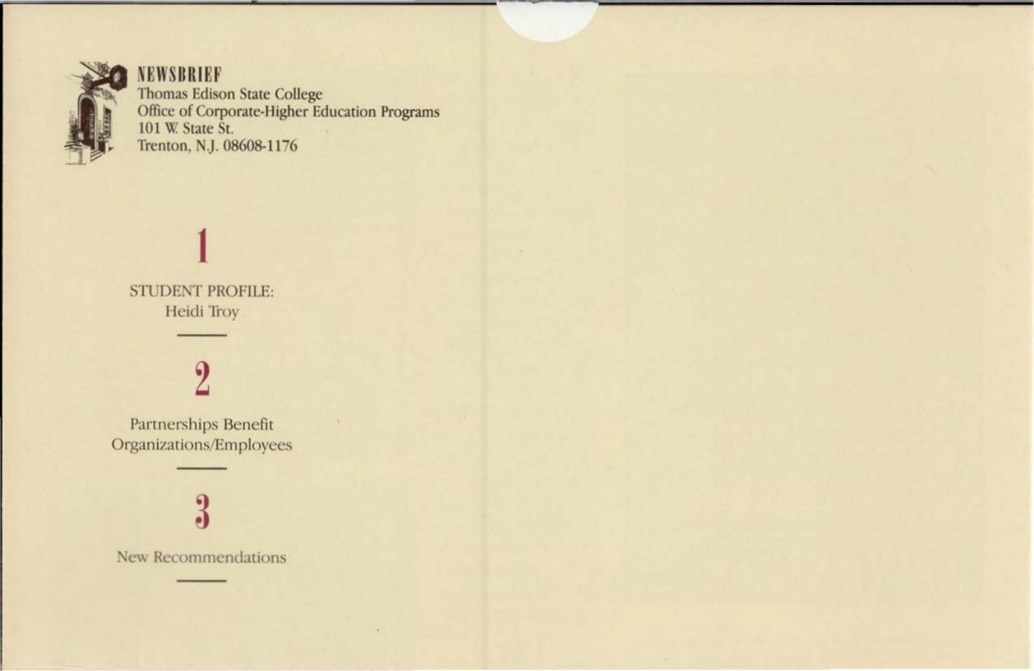

#### **NE\VSBRIEF**

Thomas Edison State College Office of Corporate-Higher Education Programs 101 W. State St. Trenton, N.J. 08608-1176

## **1**

STUDENT PROFILE: Heidi Troy

## **2**

Partnerships Benefit Organizations/Employees

### $\overline{\bf 3}$

New Recommendations